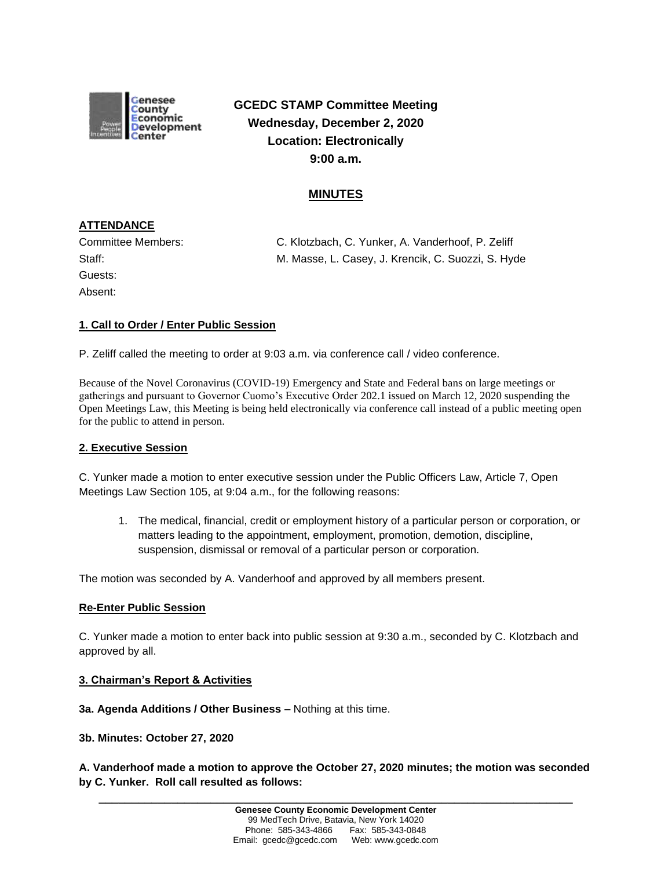

**GCEDC STAMP Committee Meeting Wednesday, December 2, 2020 Location: Electronically 9:00 a.m.**

# **MINUTES**

# **ATTENDANCE**

Guests: Absent:

Committee Members: C. Klotzbach, C. Yunker, A. Vanderhoof, P. Zeliff Staff: M. Masse, L. Casey, J. Krencik, C. Suozzi, S. Hyde

## **1. Call to Order / Enter Public Session**

P. Zeliff called the meeting to order at 9:03 a.m. via conference call / video conference.

Because of the Novel Coronavirus (COVID-19) Emergency and State and Federal bans on large meetings or gatherings and pursuant to Governor Cuomo's Executive Order 202.1 issued on March 12, 2020 suspending the Open Meetings Law, this Meeting is being held electronically via conference call instead of a public meeting open for the public to attend in person.

## **2. Executive Session**

C. Yunker made a motion to enter executive session under the Public Officers Law, Article 7, Open Meetings Law Section 105, at 9:04 a.m., for the following reasons:

1. The medical, financial, credit or employment history of a particular person or corporation, or matters leading to the appointment, employment, promotion, demotion, discipline, suspension, dismissal or removal of a particular person or corporation.

The motion was seconded by A. Vanderhoof and approved by all members present.

### **Re-Enter Public Session**

C. Yunker made a motion to enter back into public session at 9:30 a.m., seconded by C. Klotzbach and approved by all.

### **3. Chairman's Report & Activities**

**3a. Agenda Additions / Other Business –** Nothing at this time.

**3b. Minutes: October 27, 2020**

**A. Vanderhoof made a motion to approve the October 27, 2020 minutes; the motion was seconded by C. Yunker. Roll call resulted as follows:**

**\_\_\_\_\_\_\_\_\_\_\_\_\_\_\_\_\_\_\_\_\_\_\_\_\_\_\_\_\_\_\_\_\_\_\_\_\_\_\_\_\_\_\_\_\_\_\_\_\_\_\_\_\_\_\_\_\_\_\_\_\_\_\_\_\_\_\_\_\_\_\_\_**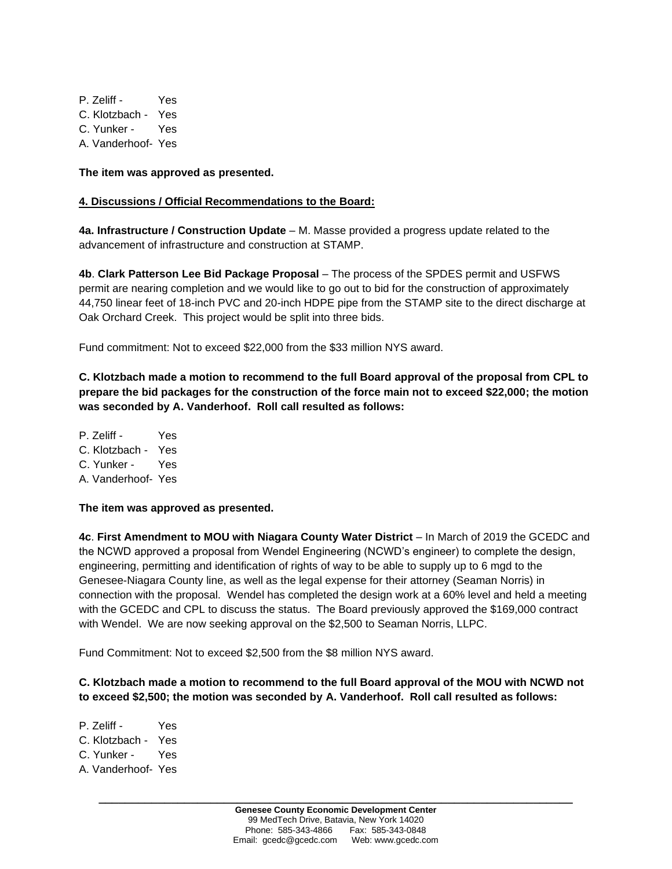P. Zeliff - Yes C. Klotzbach - Yes C. Yunker - Yes A. Vanderhoof- Yes

**The item was approved as presented.**

### **4. Discussions / Official Recommendations to the Board:**

**4a. Infrastructure / Construction Update** – M. Masse provided a progress update related to the advancement of infrastructure and construction at STAMP.

**4b**. **Clark Patterson Lee Bid Package Proposal** – The process of the SPDES permit and USFWS permit are nearing completion and we would like to go out to bid for the construction of approximately 44,750 linear feet of 18-inch PVC and 20-inch HDPE pipe from the STAMP site to the direct discharge at Oak Orchard Creek. This project would be split into three bids.

Fund commitment: Not to exceed \$22,000 from the \$33 million NYS award.

**C. Klotzbach made a motion to recommend to the full Board approval of the proposal from CPL to prepare the bid packages for the construction of the force main not to exceed \$22,000; the motion was seconded by A. Vanderhoof. Roll call resulted as follows:**

P. Zeliff - Yes C. Klotzbach - Yes C. Yunker - Yes A. Vanderhoof- Yes

**The item was approved as presented.**

**4c**. **First Amendment to MOU with Niagara County Water District** – In March of 2019 the GCEDC and the NCWD approved a proposal from Wendel Engineering (NCWD's engineer) to complete the design, engineering, permitting and identification of rights of way to be able to supply up to 6 mgd to the Genesee-Niagara County line, as well as the legal expense for their attorney (Seaman Norris) in connection with the proposal. Wendel has completed the design work at a 60% level and held a meeting with the GCEDC and CPL to discuss the status. The Board previously approved the \$169,000 contract with Wendel. We are now seeking approval on the \$2,500 to Seaman Norris, LLPC.

Fund Commitment: Not to exceed \$2,500 from the \$8 million NYS award.

## **C. Klotzbach made a motion to recommend to the full Board approval of the MOU with NCWD not to exceed \$2,500; the motion was seconded by A. Vanderhoof. Roll call resulted as follows:**

- P. Zeliff Yes C. Klotzbach - Yes C. Yunker - Yes A. Vanderhoof- Yes
	- **\_\_\_\_\_\_\_\_\_\_\_\_\_\_\_\_\_\_\_\_\_\_\_\_\_\_\_\_\_\_\_\_\_\_\_\_\_\_\_\_\_\_\_\_\_\_\_\_\_\_\_\_\_\_\_\_\_\_\_\_\_\_\_\_\_\_\_\_\_\_\_\_ Genesee County Economic Development Center** 99 MedTech Drive, Batavia, New York 14020 Phone: 585-343-4866 Fax: 585-343-0848 Email: gcedc@gcedc.com Web: www.gcedc.com